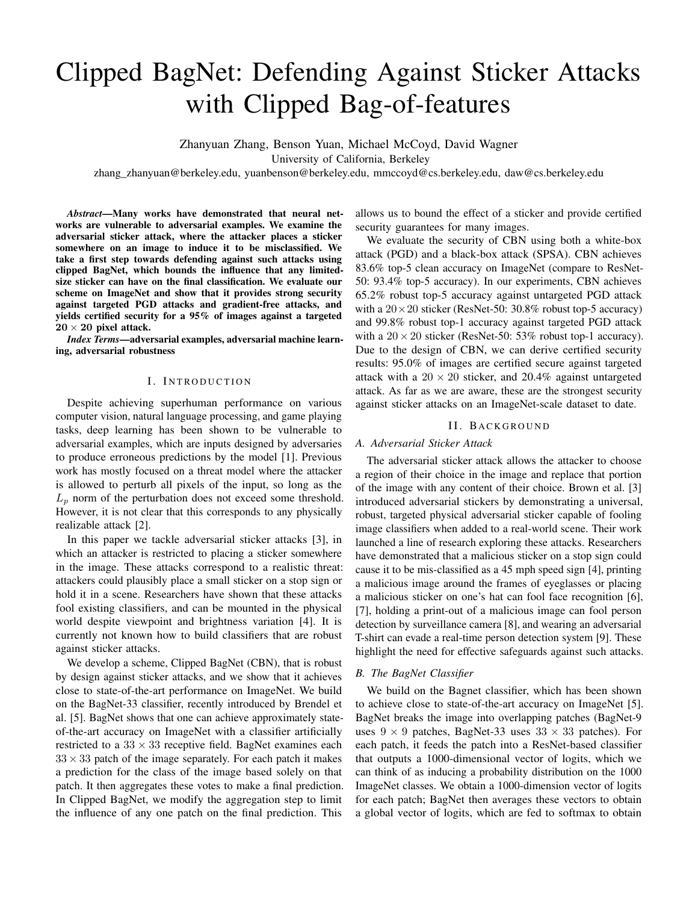# Clipped BagNet: Defending Against Sticker Attacks with Clipped Bag-of-features

Zhanyuan Zhang, Benson Yuan, Michael McCoyd, David Wagner

University of California, Berkeley

zhang\_zhanyuan@berkeley.edu, yuanbenson@berkeley.edu, mmccoyd@cs.berkeley.edu, daw@cs.berkeley.edu

*Abstract*—Many works have demonstrated that neural networks are vulnerable to adversarial examples. We examine the adversarial sticker attack, where the attacker places a sticker somewhere on an image to induce it to be misclassified. We take a first step towards defending against such attacks using clipped BagNet, which bounds the influence that any limitedsize sticker can have on the final classification. We evaluate our scheme on ImageNet and show that it provides strong security against targeted PGD attacks and gradient-free attacks, and yields certified security for a 95% of images against a targeted  $20 \times 20$  pixel attack.

*Index Terms*—adversarial examples, adversarial machine learning, adversarial robustness

# I. INTRODUCTION

<span id="page-0-0"></span>Despite achieving superhuman performance on various computer vision, natural language processing, and game playing tasks, deep learning has been shown to be vulnerable to adversarial examples, which are inputs designed by adversaries to produce erroneous predictions by the model [\[1\]](#page-6-0). Previous work has mostly focused on a threat model where the attacker is allowed to perturb all pixels of the input, so long as the  $L_p$  norm of the perturbation does not exceed some threshold. However, it is not clear that this corresponds to any physically realizable attack [\[2\]](#page-6-1).

In this paper we tackle adversarial sticker attacks [\[3\]](#page-6-2), in which an attacker is restricted to placing a sticker somewhere in the image. These attacks correspond to a realistic threat: attackers could plausibly place a small sticker on a stop sign or hold it in a scene. Researchers have shown that these attacks fool existing classifiers, and can be mounted in the physical world despite viewpoint and brightness variation [\[4\]](#page-6-3). It is currently not known how to build classifiers that are robust against sticker attacks.

We develop a scheme, Clipped BagNet (CBN), that is robust by design against sticker attacks, and we show that it achieves close to state-of-the-art performance on ImageNet. We build on the BagNet-33 classifier, recently introduced by Brendel et al. [\[5\]](#page-6-4). BagNet shows that one can achieve approximately stateof-the-art accuracy on ImageNet with a classifier artificially restricted to a  $33 \times 33$  receptive field. BagNet examines each  $33 \times 33$  patch of the image separately. For each patch it makes a prediction for the class of the image based solely on that patch. It then aggregates these votes to make a final prediction. In Clipped BagNet, we modify the aggregation step to limit the influence of any one patch on the final prediction. This

allows us to bound the effect of a sticker and provide certified security guarantees for many images.

We evaluate the security of CBN using both a white-box attack (PGD) and a black-box attack (SPSA). CBN achieves 83.6% top-5 clean accuracy on ImageNet (compare to ResNet-50: 93.4% top-5 accuracy). In our experiments, CBN achieves 65.2% robust top-5 accuracy against untargeted PGD attack with a  $20 \times 20$  sticker (ResNet-50: 30.8% robust top-5 accuracy) and 99.8% robust top-1 accuracy against targeted PGD attack with a  $20 \times 20$  sticker (ResNet-50: 53% robust top-1 accuracy). Due to the design of CBN, we can derive certified security results: 95.0% of images are certified secure against targeted attack with a  $20 \times 20$  sticker, and 20.4% against untargeted attack. As far as we are aware, these are the strongest security against sticker attacks on an ImageNet-scale dataset to date.

## II. BACKGROUND

# <span id="page-0-1"></span>*A. Adversarial Sticker Attack*

The adversarial sticker attack allows the attacker to choose a region of their choice in the image and replace that portion of the image with any content of their choice. Brown et al. [\[3\]](#page-6-2) introduced adversarial stickers by demonstrating a universal, robust, targeted physical adversarial sticker capable of fooling image classifiers when added to a real-world scene. Their work launched a line of research exploring these attacks. Researchers have demonstrated that a malicious sticker on a stop sign could cause it to be mis-classified as a 45 mph speed sign [\[4\]](#page-6-3), printing a malicious image around the frames of eyeglasses or placing a malicious sticker on one's hat can fool face recognition [\[6\]](#page-6-5), [\[7\]](#page-6-6), holding a print-out of a malicious image can fool person detection by surveillance camera [\[8\]](#page-6-7), and wearing an adversarial T-shirt can evade a real-time person detection system [\[9\]](#page-6-8). These highlight the need for effective safeguards against such attacks.

## <span id="page-0-2"></span>*B. The BagNet Classifier*

We build on the Bagnet classifier, which has been shown to achieve close to state-of-the-art accuracy on ImageNet [\[5\]](#page-6-4). BagNet breaks the image into overlapping patches (BagNet-9 uses  $9 \times 9$  patches, BagNet-33 uses  $33 \times 33$  patches). For each patch, it feeds the patch into a ResNet-based classifier that outputs a 1000-dimensional vector of logits, which we can think of as inducing a probability distribution on the 1000 ImageNet classes. We obtain a 1000-dimension vector of logits for each patch; BagNet then averages these vectors to obtain a global vector of logits, which are fed to softmax to obtain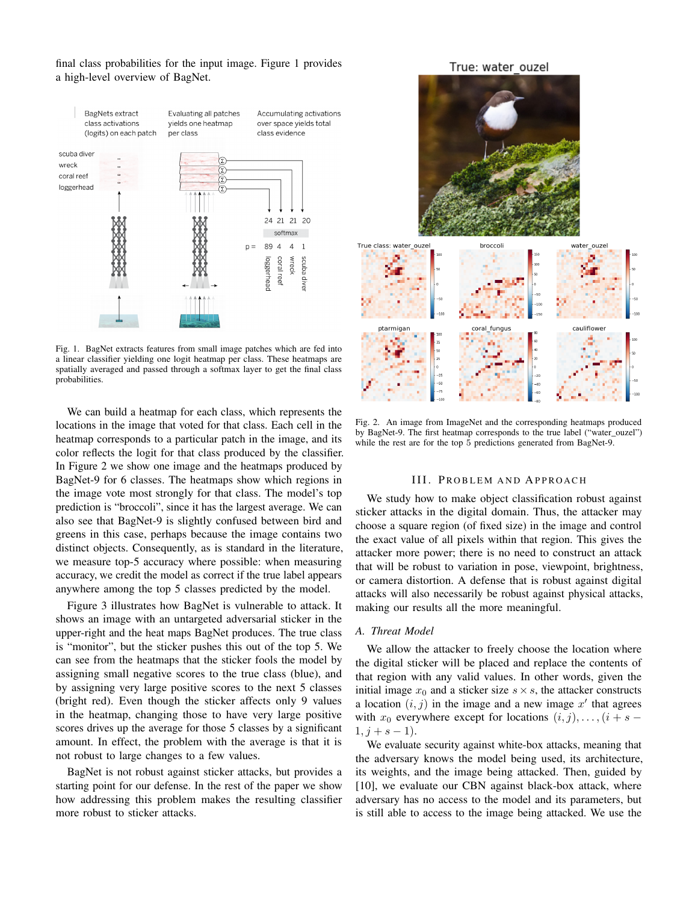final class probabilities for the input image. Figure [1](#page-1-0) provides a high-level overview of BagNet.



<span id="page-1-0"></span>Fig. 1. BagNet extracts features from small image patches which are fed into a linear classifier yielding one logit heatmap per class. These heatmaps are spatially averaged and passed through a softmax layer to get the final class probabilities.

We can build a heatmap for each class, which represents the locations in the image that voted for that class. Each cell in the heatmap corresponds to a particular patch in the image, and its color reflects the logit for that class produced by the classifier. In Figure [2](#page-1-1) we show one image and the heatmaps produced by BagNet-9 for 6 classes. The heatmaps show which regions in the image vote most strongly for that class. The model's top prediction is "broccoli", since it has the largest average. We can also see that BagNet-9 is slightly confused between bird and greens in this case, perhaps because the image contains two distinct objects. Consequently, as is standard in the literature, we measure top-5 accuracy where possible: when measuring accuracy, we credit the model as correct if the true label appears anywhere among the top 5 classes predicted by the model.

Figure [3](#page-2-0) illustrates how BagNet is vulnerable to attack. It shows an image with an untargeted adversarial sticker in the upper-right and the heat maps BagNet produces. The true class is "monitor", but the sticker pushes this out of the top 5. We can see from the heatmaps that the sticker fools the model by assigning small negative scores to the true class (blue), and by assigning very large positive scores to the next 5 classes (bright red). Even though the sticker affects only 9 values in the heatmap, changing those to have very large positive scores drives up the average for those 5 classes by a significant amount. In effect, the problem with the average is that it is not robust to large changes to a few values.

BagNet is not robust against sticker attacks, but provides a starting point for our defense. In the rest of the paper we show how addressing this problem makes the resulting classifier more robust to sticker attacks.

True: water ouzel



<span id="page-1-1"></span>Fig. 2. An image from ImageNet and the corresponding heatmaps produced by BagNet-9. The first heatmap corresponds to the true label ("water\_ouzel") while the rest are for the top 5 predictions generated from BagNet-9.

## III. PROBLEM AND APPROACH

We study how to make object classification robust against sticker attacks in the digital domain. Thus, the attacker may choose a square region (of fixed size) in the image and control the exact value of all pixels within that region. This gives the attacker more power; there is no need to construct an attack that will be robust to variation in pose, viewpoint, brightness, or camera distortion. A defense that is robust against digital attacks will also necessarily be robust against physical attacks, making our results all the more meaningful.

## <span id="page-1-2"></span>*A. Threat Model*

We allow the attacker to freely choose the location where the digital sticker will be placed and replace the contents of that region with any valid values. In other words, given the initial image  $x_0$  and a sticker size  $s \times s$ , the attacker constructs a location  $(i, j)$  in the image and a new image  $x'$  that agrees with  $x_0$  everywhere except for locations  $(i, j), \ldots, (i + s - j)$  $1, j + s - 1$ ).

We evaluate security against white-box attacks, meaning that the adversary knows the model being used, its architecture, its weights, and the image being attacked. Then, guided by [\[10\]](#page-6-9), we evaluate our CBN against black-box attack, where adversary has no access to the model and its parameters, but is still able to access to the image being attacked. We use the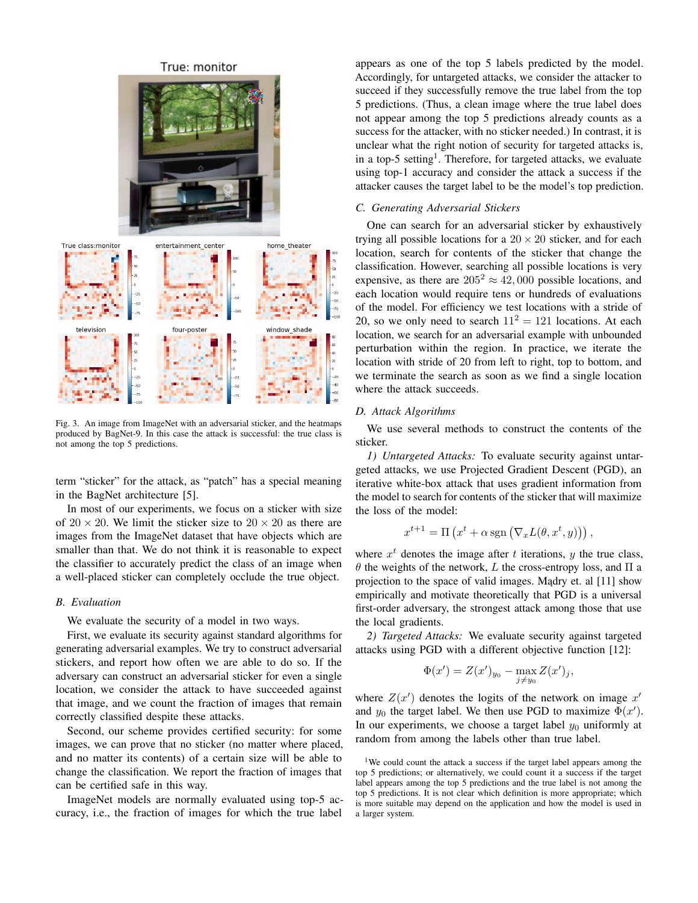

<span id="page-2-0"></span>Fig. 3. An image from ImageNet with an adversarial sticker, and the heatmaps produced by BagNet-9. In this case the attack is successful: the true class is not among the top 5 predictions.

term "sticker" for the attack, as "patch" has a special meaning in the BagNet architecture [\[5\]](#page-6-4).

In most of our experiments, we focus on a sticker with size of  $20 \times 20$ . We limit the sticker size to  $20 \times 20$  as there are images from the ImageNet dataset that have objects which are smaller than that. We do not think it is reasonable to expect the classifier to accurately predict the class of an image when a well-placed sticker can completely occlude the true object.

# *B. Evaluation*

We evaluate the security of a model in two ways.

First, we evaluate its security against standard algorithms for generating adversarial examples. We try to construct adversarial stickers, and report how often we are able to do so. If the adversary can construct an adversarial sticker for even a single location, we consider the attack to have succeeded against that image, and we count the fraction of images that remain correctly classified despite these attacks.

Second, our scheme provides certified security: for some images, we can prove that no sticker (no matter where placed, and no matter its contents) of a certain size will be able to change the classification. We report the fraction of images that can be certified safe in this way.

ImageNet models are normally evaluated using top-5 accuracy, i.e., the fraction of images for which the true label

appears as one of the top 5 labels predicted by the model. Accordingly, for untargeted attacks, we consider the attacker to succeed if they successfully remove the true label from the top 5 predictions. (Thus, a clean image where the true label does not appear among the top 5 predictions already counts as a success for the attacker, with no sticker needed.) In contrast, it is unclear what the right notion of security for targeted attacks is, in a top-5 setting<sup>[1](#page-2-1)</sup>. Therefore, for targeted attacks, we evaluate using top-1 accuracy and consider the attack a success if the attacker causes the target label to be the model's top prediction.

# <span id="page-2-2"></span>*C. Generating Adversarial Stickers*

One can search for an adversarial sticker by exhaustively trying all possible locations for a  $20 \times 20$  sticker, and for each location, search for contents of the sticker that change the classification. However, searching all possible locations is very expensive, as there are  $205^2 \approx 42,000$  possible locations, and each location would require tens or hundreds of evaluations of the model. For efficiency we test locations with a stride of 20, so we only need to search  $11^2 = 121$  locations. At each location, we search for an adversarial example with unbounded perturbation within the region. In practice, we iterate the location with stride of 20 from left to right, top to bottom, and we terminate the search as soon as we find a single location where the attack succeeds.

## *D. Attack Algorithms*

We use several methods to construct the contents of the sticker.

<span id="page-2-4"></span>*1) Untargeted Attacks:* To evaluate security against untargeted attacks, we use Projected Gradient Descent (PGD), an iterative white-box attack that uses gradient information from the model to search for contents of the sticker that will maximize the loss of the model:

$$
x^{t+1} = \Pi\left(x^t + \alpha \operatorname{sgn}(\nabla_x L(\theta, x^t, y))\right),
$$

where  $x^t$  denotes the image after t iterations, y the true class, θ the weights of the network, L the cross-entropy loss, and Π a projection to the space of valid images. Madry et. al [\[11\]](#page-6-10) show empirically and motivate theoretically that PGD is a universal first-order adversary, the strongest attack among those that use the local gradients.

<span id="page-2-3"></span>*2) Targeted Attacks:* We evaluate security against targeted attacks using PGD with a different objective function [\[12\]](#page-6-11):

$$
\Phi(x') = Z(x')_{y_0} - \max_{j \neq y_0} Z(x')_j,
$$

where  $Z(x')$  denotes the logits of the network on image  $x'$ and  $y_0$  the target label. We then use PGD to maximize  $\Phi(x')$ . In our experiments, we choose a target label  $y_0$  uniformly at random from among the labels other than true label.

<span id="page-2-1"></span><sup>1</sup>We could count the attack a success if the target label appears among the top 5 predictions; or alternatively, we could count it a success if the target label appears among the top 5 predictions and the true label is not among the top 5 predictions. It is not clear which definition is more appropriate; which is more suitable may depend on the application and how the model is used in a larger system.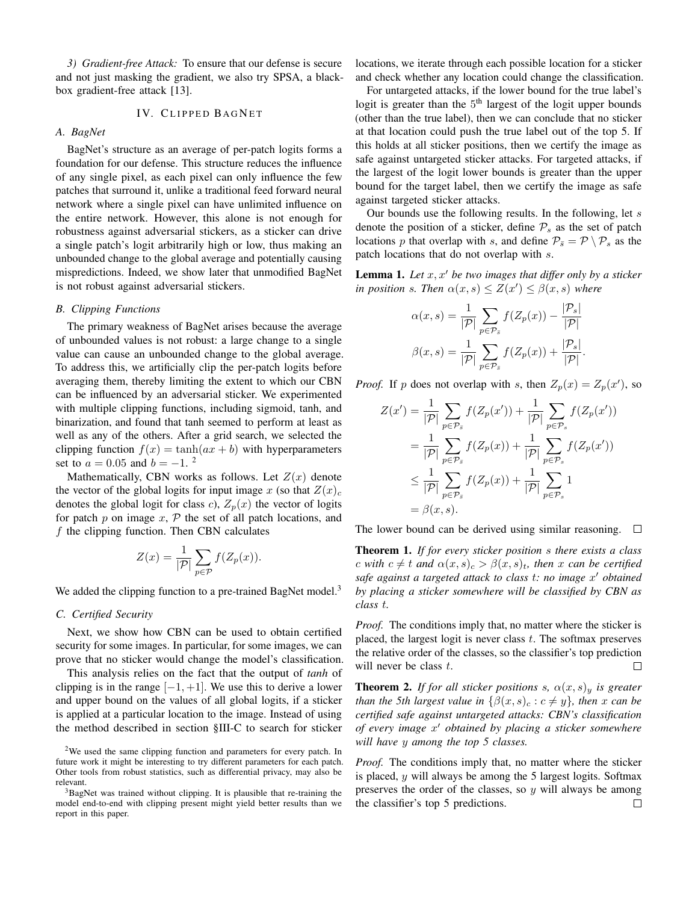<span id="page-3-3"></span>*3) Gradient-free Attack:* To ensure that our defense is secure and not just masking the gradient, we also try SPSA, a blackbox gradient-free attack [\[13\]](#page-6-12).

# IV. CLIPPED BAGNET

# *A. BagNet*

BagNet's structure as an average of per-patch logits forms a foundation for our defense. This structure reduces the influence of any single pixel, as each pixel can only influence the few patches that surround it, unlike a traditional feed forward neural network where a single pixel can have unlimited influence on the entire network. However, this alone is not enough for robustness against adversarial stickers, as a sticker can drive a single patch's logit arbitrarily high or low, thus making an unbounded change to the global average and potentially causing mispredictions. Indeed, we show later that unmodified BagNet is not robust against adversarial stickers.

## *B. Clipping Functions*

The primary weakness of BagNet arises because the average of unbounded values is not robust: a large change to a single value can cause an unbounded change to the global average. To address this, we artificially clip the per-patch logits before averaging them, thereby limiting the extent to which our CBN can be influenced by an adversarial sticker. We experimented with multiple clipping functions, including sigmoid, tanh, and binarization, and found that tanh seemed to perform at least as well as any of the others. After a grid search, we selected the clipping function  $f(x) = \tanh(ax + b)$  with hyperparameters set to  $a = 0.05$  and  $b = -1$ . <sup>[2](#page-3-0)</sup>

Mathematically, CBN works as follows. Let  $Z(x)$  denote the vector of the global logits for input image x (so that  $Z(x)<sub>c</sub>$ denotes the global logit for class c),  $Z_p(x)$  the vector of logits for patch  $p$  on image  $x$ ,  $P$  the set of all patch locations, and  $f$  the clipping function. Then CBN calculates

$$
Z(x) = \frac{1}{|\mathcal{P}|} \sum_{p \in \mathcal{P}} f(Z_p(x)).
$$

We added the clipping function to a pre-trained BagNet model.<sup>[3](#page-3-1)</sup>

## <span id="page-3-2"></span>*C. Certified Security*

Next, we show how CBN can be used to obtain certified security for some images. In particular, for some images, we can prove that no sticker would change the model's classification.

This analysis relies on the fact that the output of *tanh* of clipping is in the range  $[-1, +1]$ . We use this to derive a lower and upper bound on the values of all global logits, if a sticker is applied at a particular location to the image. Instead of using the method described in section [§III-C](#page-2-2) to search for sticker

locations, we iterate through each possible location for a sticker and check whether any location could change the classification.

For untargeted attacks, if the lower bound for the true label's logit is greater than the 5<sup>th</sup> largest of the logit upper bounds (other than the true label), then we can conclude that no sticker at that location could push the true label out of the top 5. If this holds at all sticker positions, then we certify the image as safe against untargeted sticker attacks. For targeted attacks, if the largest of the logit lower bounds is greater than the upper bound for the target label, then we certify the image as safe against targeted sticker attacks.

Our bounds use the following results. In the following, let  $s$ denote the position of a sticker, define  $P_s$  as the set of patch locations p that overlap with s, and define  $P_{\bar{s}} = \mathcal{P} \setminus \mathcal{P}_s$  as the patch locations that do not overlap with s.

**Lemma 1.** Let  $x, x'$  be two images that differ only by a sticker *in position s. Then*  $\alpha(x, s) \leq Z(x') \leq \beta(x, s)$  *where* 

$$
\alpha(x,s) = \frac{1}{|\mathcal{P}|} \sum_{p \in \mathcal{P}_s} f(Z_p(x)) - \frac{|\mathcal{P}_s|}{|\mathcal{P}|}
$$

$$
\beta(x,s) = \frac{1}{|\mathcal{P}|} \sum_{p \in \mathcal{P}_s} f(Z_p(x)) + \frac{|\mathcal{P}_s|}{|\mathcal{P}|}.
$$

*Proof.* If p does not overlap with s, then  $Z_p(x) = Z_p(x')$ , so

$$
Z(x') = \frac{1}{|\mathcal{P}|} \sum_{p \in \mathcal{P}_{\bar{s}}} f(Z_p(x')) + \frac{1}{|\mathcal{P}|} \sum_{p \in \mathcal{P}_{s}} f(Z_p(x'))
$$
  

$$
= \frac{1}{|\mathcal{P}|} \sum_{p \in \mathcal{P}_{\bar{s}}} f(Z_p(x)) + \frac{1}{|\mathcal{P}|} \sum_{p \in \mathcal{P}_{s}} f(Z_p(x'))
$$
  

$$
\leq \frac{1}{|\mathcal{P}|} \sum_{p \in \mathcal{P}_{\bar{s}}} f(Z_p(x)) + \frac{1}{|\mathcal{P}|} \sum_{p \in \mathcal{P}_{s}} 1
$$
  

$$
= \beta(x, s).
$$

The lower bound can be derived using similar reasoning.  $\Box$ 

Theorem 1. *If for every sticker position* s *there exists a class c* with  $c \neq t$  and  $\alpha(x, s)_c > \beta(x, s)_t$ , then x can be certified *safe against a targeted attack to class* t*: no image* x <sup>0</sup> *obtained by placing a sticker somewhere will be classified by CBN as class* t*.*

*Proof.* The conditions imply that, no matter where the sticker is placed, the largest logit is never class  $t$ . The softmax preserves the relative order of the classes, so the classifier's top prediction will never be class  $t$ .  $\Box$ 

**Theorem 2.** *If for all sticker positions s,*  $\alpha(x, s)_y$  *is greater than the 5th largest value in*  $\{\beta(x, s)_c : c \neq y\}$ *, then* x *can be certified safe against untargeted attacks: CBN's classification of every image* x <sup>0</sup> *obtained by placing a sticker somewhere will have* y *among the top 5 classes.*

*Proof.* The conditions imply that, no matter where the sticker is placed,  $y$  will always be among the 5 largest logits. Softmax preserves the order of the classes, so  $y$  will always be among the classifier's top 5 predictions.П

<span id="page-3-0"></span> $2$ We used the same clipping function and parameters for every patch. In future work it might be interesting to try different parameters for each patch. Other tools from robust statistics, such as differential privacy, may also be relevant.

<span id="page-3-1"></span><sup>&</sup>lt;sup>3</sup>BagNet was trained without clipping. It is plausible that re-training the model end-to-end with clipping present might yield better results than we report in this paper.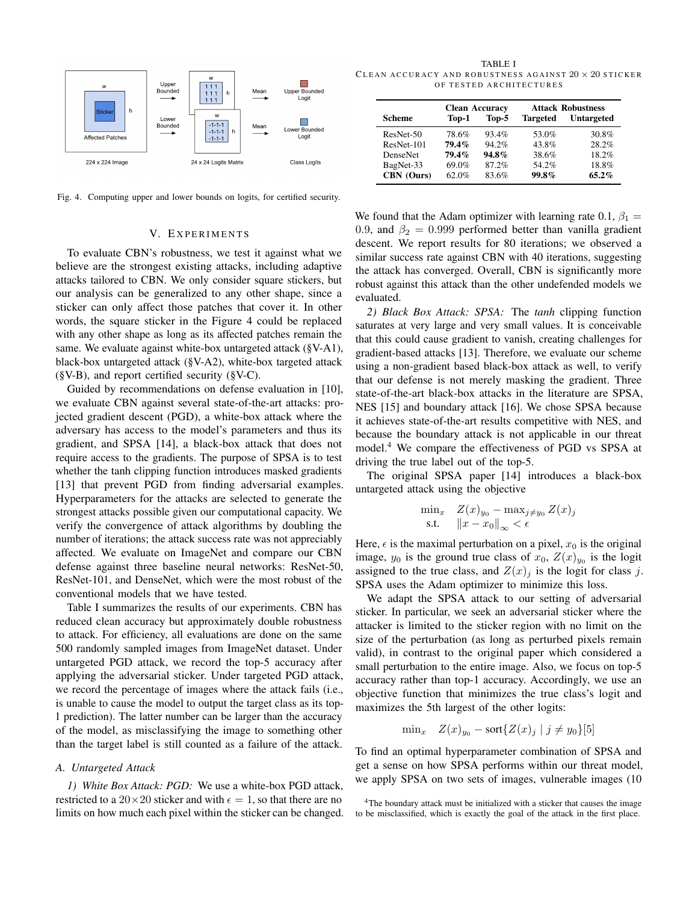

<span id="page-4-0"></span>Fig. 4. Computing upper and lower bounds on logits, for certified security.

## V. EXPERIMENTS

<span id="page-4-5"></span>To evaluate CBN's robustness, we test it against what we believe are the strongest existing attacks, including adaptive attacks tailored to CBN. We only consider square stickers, but our analysis can be generalized to any other shape, since a sticker can only affect those patches that cover it. In other words, the square sticker in the Figure [4](#page-4-0) could be replaced with any other shape as long as its affected patches remain the same. We evaluate against white-box untargeted attack ([§V-A1\)](#page-4-1), black-box untargeted attack ([§V-A2\)](#page-4-2), white-box targeted attack  $(\S{V-B})$ , and report certified security  $(\S{V-C})$ .

Guided by recommendations on defense evaluation in [\[10\]](#page-6-9), we evaluate CBN against several state-of-the-art attacks: projected gradient descent (PGD), a white-box attack where the adversary has access to the model's parameters and thus its gradient, and SPSA [\[14\]](#page-6-13), a black-box attack that does not require access to the gradients. The purpose of SPSA is to test whether the tanh clipping function introduces masked gradients [\[13\]](#page-6-12) that prevent PGD from finding adversarial examples. Hyperparameters for the attacks are selected to generate the strongest attacks possible given our computational capacity. We verify the convergence of attack algorithms by doubling the number of iterations; the attack success rate was not appreciably affected. We evaluate on ImageNet and compare our CBN defense against three baseline neural networks: ResNet-50, ResNet-101, and DenseNet, which were the most robust of the conventional models that we have tested.

Table [I](#page-4-3) summarizes the results of our experiments. CBN has reduced clean accuracy but approximately double robustness to attack. For efficiency, all evaluations are done on the same 500 randomly sampled images from ImageNet dataset. Under untargeted PGD attack, we record the top-5 accuracy after applying the adversarial sticker. Under targeted PGD attack, we record the percentage of images where the attack fails (i.e., is unable to cause the model to output the target class as its top-1 prediction). The latter number can be larger than the accuracy of the model, as misclassifying the image to something other than the target label is still counted as a failure of the attack.

# *A. Untargeted Attack*

<span id="page-4-1"></span>*1) White Box Attack: PGD:* We use a white-box PGD attack, restricted to a 20 × 20 sticker and with  $\epsilon = 1$ , so that there are no limits on how much each pixel within the sticker can be changed.

<span id="page-4-3"></span>TABLE I CLEAN ACCURACY AND ROBUSTNESS AGAINST  $20 \times 20$  sticker OF TESTED ARCHITECTURES

|                 | <b>Clean Accuracy</b> |          | <b>Attack Robustness</b> |                   |
|-----------------|-----------------------|----------|--------------------------|-------------------|
| Scheme          | Top-1                 | Top-5    | <b>Targeted</b>          | <b>Untargeted</b> |
| ResNet-50       | 78.6%                 | 93.4%    | 53.0%                    | 30.8%             |
| ResNet-101      | 79.4%                 | 94.2%    | 43.8%                    | 28.2%             |
| <b>DenseNet</b> | 79.4%                 | $94.8\%$ | 38.6%                    | 18.2%             |
| BagNet-33       | 69.0%                 | 87.2%    | 54.2%                    | 18.8%             |
| CBN (Ours)      | 62.0%                 | 83.6%    | 99.8%                    | $65.2\%$          |

We found that the Adam optimizer with learning rate 0.1,  $\beta_1 =$ 0.9, and  $\beta_2 = 0.999$  performed better than vanilla gradient descent. We report results for 80 iterations; we observed a similar success rate against CBN with 40 iterations, suggesting the attack has converged. Overall, CBN is significantly more robust against this attack than the other undefended models we evaluated.

<span id="page-4-2"></span>*2) Black Box Attack: SPSA:* The *tanh* clipping function saturates at very large and very small values. It is conceivable that this could cause gradient to vanish, creating challenges for gradient-based attacks [\[13\]](#page-6-12). Therefore, we evaluate our scheme using a non-gradient based black-box attack as well, to verify that our defense is not merely masking the gradient. Three state-of-the-art black-box attacks in the literature are SPSA, NES [\[15\]](#page-6-14) and boundary attack [\[16\]](#page-6-15). We chose SPSA because it achieves state-of-the-art results competitive with NES, and because the boundary attack is not applicable in our threat model.[4](#page-4-4) We compare the effectiveness of PGD vs SPSA at driving the true label out of the top-5.

The original SPSA paper [\[14\]](#page-6-13) introduces a black-box untargeted attack using the objective

$$
\min_{x} \quad Z(x)_{y_0} - \max_{j \neq y_0} Z(x)_j
$$
  
s.t. 
$$
||x - x_0||_{\infty} < \epsilon
$$

Here,  $\epsilon$  is the maximal perturbation on a pixel,  $x_0$  is the original image,  $y_0$  is the ground true class of  $x_0$ ,  $Z(x)_{y_0}$  is the logit assigned to the true class, and  $Z(x)_i$  is the logit for class j. SPSA uses the Adam optimizer to minimize this loss.

We adapt the SPSA attack to our setting of adversarial sticker. In particular, we seek an adversarial sticker where the attacker is limited to the sticker region with no limit on the size of the perturbation (as long as perturbed pixels remain valid), in contrast to the original paper which considered a small perturbation to the entire image. Also, we focus on top-5 accuracy rather than top-1 accuracy. Accordingly, we use an objective function that minimizes the true class's logit and maximizes the 5th largest of the other logits:

$$
\min_x \quad Z(x)_{y_0} - \text{sort}\{Z(x)_j \mid j \neq y_0\}[5]
$$

To find an optimal hyperparameter combination of SPSA and get a sense on how SPSA performs within our threat model, we apply SPSA on two sets of images, vulnerable images (10

<span id="page-4-4"></span><sup>&</sup>lt;sup>4</sup>The boundary attack must be initialized with a sticker that causes the image to be misclassified, which is exactly the goal of the attack in the first place.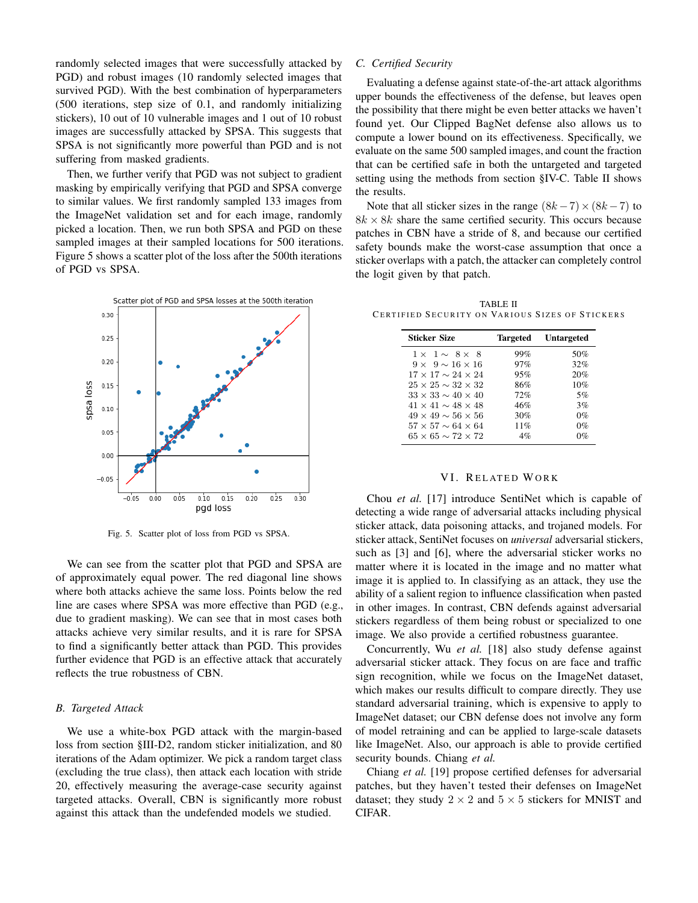randomly selected images that were successfully attacked by PGD) and robust images (10 randomly selected images that survived PGD). With the best combination of hyperparameters (500 iterations, step size of 0.1, and randomly initializing stickers), 10 out of 10 vulnerable images and 1 out of 10 robust images are successfully attacked by SPSA. This suggests that SPSA is not significantly more powerful than PGD and is not suffering from masked gradients.

Then, we further verify that PGD was not subject to gradient masking by empirically verifying that PGD and SPSA converge to similar values. We first randomly sampled 133 images from the ImageNet validation set and for each image, randomly picked a location. Then, we run both SPSA and PGD on these sampled images at their sampled locations for 500 iterations. Figure [5](#page-5-2) shows a scatter plot of the loss after the 500th iterations of PGD vs SPSA.



<span id="page-5-2"></span>Fig. 5. Scatter plot of loss from PGD vs SPSA.

We can see from the scatter plot that PGD and SPSA are of approximately equal power. The red diagonal line shows where both attacks achieve the same loss. Points below the red line are cases where SPSA was more effective than PGD (e.g., due to gradient masking). We can see that in most cases both attacks achieve very similar results, and it is rare for SPSA to find a significantly better attack than PGD. This provides further evidence that PGD is an effective attack that accurately reflects the true robustness of CBN.

# <span id="page-5-0"></span>*B. Targeted Attack*

We use a white-box PGD attack with the margin-based loss from section [§III-D2,](#page-2-3) random sticker initialization, and 80 iterations of the Adam optimizer. We pick a random target class (excluding the true class), then attack each location with stride 20, effectively measuring the average-case security against targeted attacks. Overall, CBN is significantly more robust against this attack than the undefended models we studied.

# <span id="page-5-1"></span>*C. Certified Security*

Evaluating a defense against state-of-the-art attack algorithms upper bounds the effectiveness of the defense, but leaves open the possibility that there might be even better attacks we haven't found yet. Our Clipped BagNet defense also allows us to compute a lower bound on its effectiveness. Specifically, we evaluate on the same 500 sampled images, and count the fraction that can be certified safe in both the untargeted and targeted setting using the methods from section [§IV-C.](#page-3-2) Table [II](#page-5-3) shows the results.

Note that all sticker sizes in the range  $(8k - 7) \times (8k - 7)$  to  $8k \times 8k$  share the same certified security. This occurs because patches in CBN have a stride of 8, and because our certified safety bounds make the worst-case assumption that once a sticker overlaps with a patch, the attacker can completely control the logit given by that patch.

<span id="page-5-3"></span>TABLE II CERTIFIED SECURITY ON VARIOUS SIZES OF STICKERS

| <b>Sticker Size</b>              | Targeted | <b>Untargeted</b> |
|----------------------------------|----------|-------------------|
| $1 \times 1 \sim 8 \times 8$     | 99%      | 50%               |
| $9 \times 9 \sim 16 \times 16$   | 97%      | 32%               |
| $17 \times 17 \sim 24 \times 24$ | 95%      | 20%               |
| $25 \times 25 \sim 32 \times 32$ | 86%      | 10%               |
| $33 \times 33 \sim 40 \times 40$ | 72%      | 5%                |
| $41 \times 41 \sim 48 \times 48$ | 46%      | 3%                |
| $49 \times 49 \sim 56 \times 56$ | 30%      | $0\%$             |
| $57 \times 57 \sim 64 \times 64$ | 11%      | $0\%$             |
| $65 \times 65 \sim 72 \times 72$ | 4%       | $0\%$             |
|                                  |          |                   |

#### VI. RELATED WORK

<span id="page-5-4"></span>Chou *et al.* [\[17\]](#page-6-16) introduce SentiNet which is capable of detecting a wide range of adversarial attacks including physical sticker attack, data poisoning attacks, and trojaned models. For sticker attack, SentiNet focuses on *universal* adversarial stickers, such as [\[3\]](#page-6-2) and [\[6\]](#page-6-5), where the adversarial sticker works no matter where it is located in the image and no matter what image it is applied to. In classifying as an attack, they use the ability of a salient region to influence classification when pasted in other images. In contrast, CBN defends against adversarial stickers regardless of them being robust or specialized to one image. We also provide a certified robustness guarantee.

Concurrently, Wu *et al.* [\[18\]](#page-6-17) also study defense against adversarial sticker attack. They focus on are face and traffic sign recognition, while we focus on the ImageNet dataset, which makes our results difficult to compare directly. They use standard adversarial training, which is expensive to apply to ImageNet dataset; our CBN defense does not involve any form of model retraining and can be applied to large-scale datasets like ImageNet. Also, our approach is able to provide certified security bounds. Chiang *et al.*

Chiang *et al.* [\[19\]](#page-6-18) propose certified defenses for adversarial patches, but they haven't tested their defenses on ImageNet dataset; they study  $2 \times 2$  and  $5 \times 5$  stickers for MNIST and CIFAR.